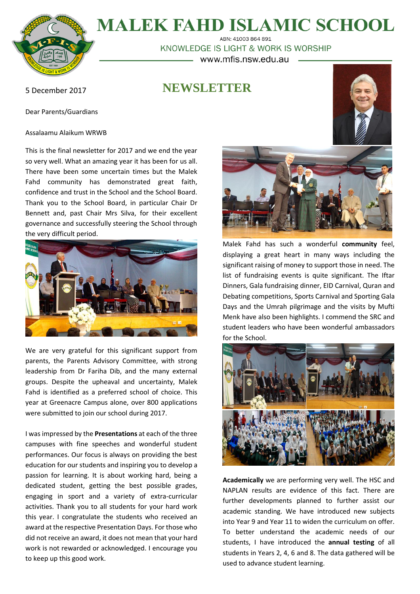

**MALEK FAHD ISLAMIC SCHOOL** 

ARN: 41003 864 891 KNOWLEDGE IS LIGHT & WORK IS WORSHIP www.mfis.nsw.edu.au

**NEWSLETTER**

5 December 2017

Dear Parents/Guardians

Assalaamu Alaikum WRWB

This is the final newsletter for 2017 and we end the year so very well. What an amazing year it has been for us all. There have been some uncertain times but the Malek Fahd community has demonstrated great faith, confidence and trust in the School and the School Board. Thank you to the School Board, in particular Chair Dr Bennett and, past Chair Mrs Silva, for their excellent governance and successfully steering the School through the very difficult period.



We are very grateful for this significant support from parents, the Parents Advisory Committee, with strong leadership from Dr Fariha Dib, and the many external groups. Despite the upheaval and uncertainty, Malek Fahd is identified as a preferred school of choice. This year at Greenacre Campus alone, over 800 applications were submitted to join our school during 2017.

I was impressed by the **Presentations** at each of the three campuses with fine speeches and wonderful student performances. Our focus is always on providing the best education for our students and inspiring you to develop a passion for learning. It is about working hard, being a dedicated student, getting the best possible grades, engaging in sport and a variety of extra-curricular activities. Thank you to all students for your hard work this year. I congratulate the students who received an award at the respective Presentation Days. For those who did not receive an award, it does not mean that your hard work is not rewarded or acknowledged. I encourage you to keep up this good work.



Malek Fahd has such a wonderful **community** feel, displaying a great heart in many ways including the significant raising of money to support those in need. The list of fundraising events is quite significant. The Iftar Dinners, Gala fundraising dinner, EID Carnival, Quran and Debating competitions, Sports Carnival and Sporting Gala Days and the Umrah pilgrimage and the visits by Mufti Menk have also been highlights. I commend the SRC and student leaders who have been wonderful ambassadors for the School.



**Academically** we are performing very well. The HSC and NAPLAN results are evidence of this fact. There are further developments planned to further assist our academic standing. We have introduced new subjects into Year 9 and Year 11 to widen the curriculum on offer. To better understand the academic needs of our students, I have introduced the **annual testing** of all students in Years 2, 4, 6 and 8. The data gathered will be used to advance student learning.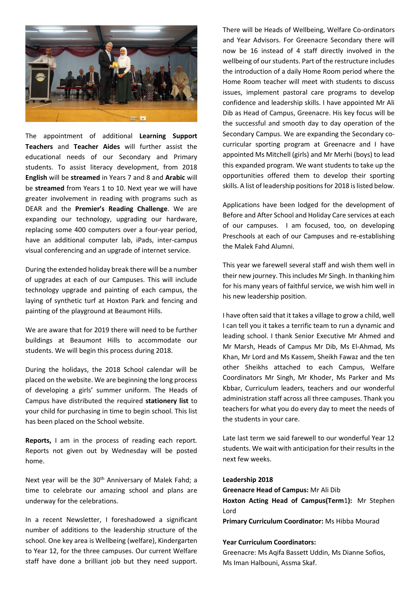

The appointment of additional **Learning Support Teachers** and **Teacher Aides** will further assist the educational needs of our Secondary and Primary students. To assist literacy development, from 2018 **English** will be **streamed** in Years 7 and 8 and **Arabic** will be **streamed** from Years 1 to 10. Next year we will have greater involvement in reading with programs such as DEAR and the **Premier's Reading Challenge**. We are expanding our technology, upgrading our hardware, replacing some 400 computers over a four-year period, have an additional computer lab, iPads, inter-campus visual conferencing and an upgrade of internet service.

During the extended holiday break there will be a number of upgrades at each of our Campuses. This will include technology upgrade and painting of each campus, the laying of synthetic turf at Hoxton Park and fencing and painting of the playground at Beaumont Hills.

We are aware that for 2019 there will need to be further buildings at Beaumont Hills to accommodate our students. We will begin this process during 2018.

During the holidays, the 2018 School calendar will be placed on the website. We are beginning the long process of developing a girls' summer uniform. The Heads of Campus have distributed the required **stationery list** to your child for purchasing in time to begin school. This list has been placed on the School website.

**Reports,** I am in the process of reading each report*.* Reports not given out by Wednesday will be posted home.

Next year will be the 30<sup>th</sup> Anniversary of Malek Fahd; a time to celebrate our amazing school and plans are underway for the celebrations.

In a recent Newsletter, I foreshadowed a significant number of additions to the leadership structure of the school. One key area is Wellbeing (welfare), Kindergarten to Year 12, for the three campuses. Our current Welfare staff have done a brilliant job but they need support.

There will be Heads of Wellbeing, Welfare Co-ordinators and Year Advisors. For Greenacre Secondary there will now be 16 instead of 4 staff directly involved in the wellbeing of our students. Part of the restructure includes the introduction of a daily Home Room period where the Home Room teacher will meet with students to discuss issues, implement pastoral care programs to develop confidence and leadership skills. I have appointed Mr Ali Dib as Head of Campus, Greenacre. His key focus will be the successful and smooth day to day operation of the Secondary Campus. We are expanding the Secondary cocurricular sporting program at Greenacre and I have appointed Ms Mitchell (girls) and Mr Merhi (boys) to lead this expanded program. We want students to take up the opportunities offered them to develop their sporting skills. A list of leadership positions for 2018 is listed below.

Applications have been lodged for the development of Before and After School and Holiday Care services at each of our campuses. I am focused, too, on developing Preschools at each of our Campuses and re-establishing the Malek Fahd Alumni.

This year we farewell several staff and wish them well in their new journey. This includes Mr Singh. In thanking him for his many years of faithful service, we wish him well in his new leadership position.

I have often said that it takes a village to grow a child, well I can tell you it takes a terrific team to run a dynamic and leading school. I thank Senior Executive Mr Ahmed and Mr Marsh, Heads of Campus Mr Dib, Ms El-Ahmad, Ms Khan, Mr Lord and Ms Kassem, Sheikh Fawaz and the ten other Sheikhs attached to each Campus, Welfare Coordinators Mr Singh, Mr Khoder, Ms Parker and Ms Kbbar, Curriculum leaders, teachers and our wonderful administration staff across all three campuses. Thank you teachers for what you do every day to meet the needs of the students in your care.

Late last term we said farewell to our wonderful Year 12 students. We wait with anticipation for their results in the next few weeks.

#### **Leadership 2018**

**Greenacre Head of Campus:** Mr Ali Dib **Hoxton Acting Head of Campus(Term**1**):** Mr Stephen Lord

**Primary Curriculum Coordinator:** Ms Hibba Mourad

#### **Year Curriculum Coordinators:**

Greenacre: Ms Aqifa Bassett Uddin, Ms Dianne Sofios, Ms Iman Halbouni, Assma Skaf.